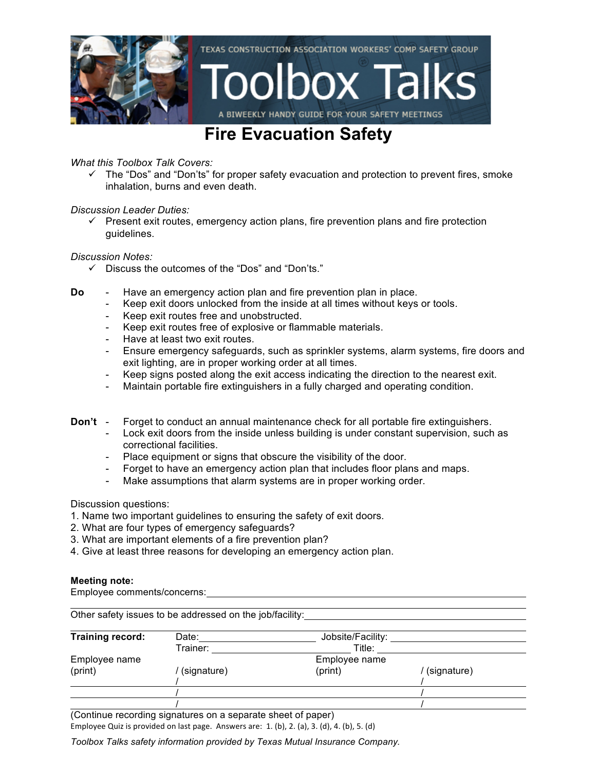

## **Fire Evacuation Safety**

### *What this Toolbox Talk Covers:*

 $\checkmark$  The "Dos" and "Don'ts" for proper safety evacuation and protection to prevent fires, smoke inhalation, burns and even death.

### *Discussion Leader Duties:*

 $\checkmark$  Present exit routes, emergency action plans, fire prevention plans and fire protection guidelines.

### *Discussion Notes:*

- $\checkmark$  Discuss the outcomes of the "Dos" and "Don'ts."
- **Do** Have an emergency action plan and fire prevention plan in place.
	- Keep exit doors unlocked from the inside at all times without keys or tools.
	- Keep exit routes free and unobstructed.
	- Keep exit routes free of explosive or flammable materials.
	- Have at least two exit routes.
	- Ensure emergency safeguards, such as sprinkler systems, alarm systems, fire doors and exit lighting, are in proper working order at all times.
	- Keep signs posted along the exit access indicating the direction to the nearest exit.
	- Maintain portable fire extinguishers in a fully charged and operating condition.
- **Don't** Forget to conduct an annual maintenance check for all portable fire extinguishers.
	- Lock exit doors from the inside unless building is under constant supervision, such as correctional facilities.
	- Place equipment or signs that obscure the visibility of the door.
	- Forget to have an emergency action plan that includes floor plans and maps.
	- Make assumptions that alarm systems are in proper working order.

Discussion questions:

- 1. Name two important guidelines to ensuring the safety of exit doors.
- 2. What are four types of emergency safeguards?
- 3. What are important elements of a fire prevention plan?
- 4. Give at least three reasons for developing an emergency action plan.

#### **Meeting note:**

Employee comments/concerns:

| Training record: | Date:       | Jobsite/Facility: |             |
|------------------|-------------|-------------------|-------------|
|                  | Trainer:    | Title:            |             |
| Employee name    |             | Employee name     |             |
| (print)          | (signature) | (print)           | (signature) |
|                  |             |                   |             |
|                  |             |                   |             |
|                  |             |                   |             |

(Continue recording signatures on a separate sheet of paper)

Employee Quiz is provided on last page. Answers are:  $1.$  (b),  $2.$  (a),  $3.$  (d),  $4.$  (b),  $5.$  (d)

*Toolbox Talks safety information provided by Texas Mutual Insurance Company.*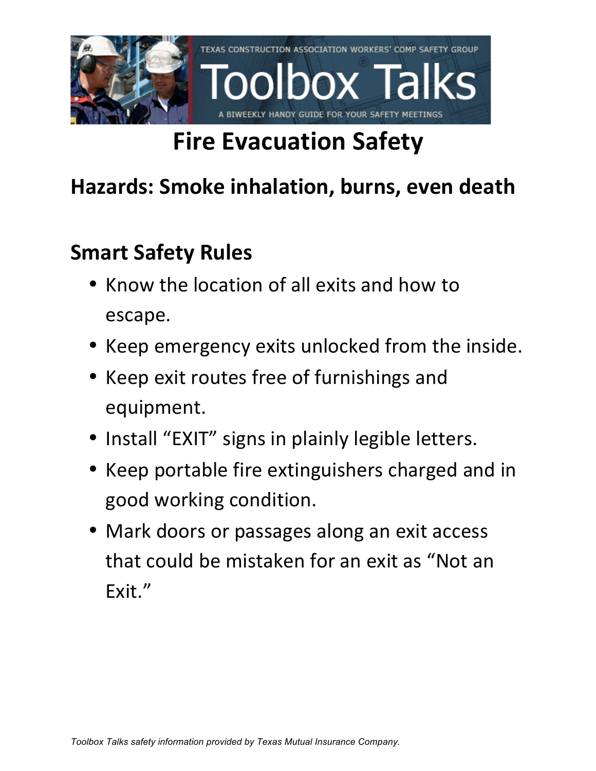

# **Fire Evacuation Safety**

## **Hazards: Smoke inhalation, burns, even death**

# **Smart Safety Rules**

- Know the location of all exits and how to escape.
- Keep emergency exits unlocked from the inside.
- Keep exit routes free of furnishings and equipment.
- Install "EXIT" signs in plainly legible letters.
- Keep portable fire extinguishers charged and in good working condition.
- Mark doors or passages along an exit access that could be mistaken for an exit as "Not an Exit."